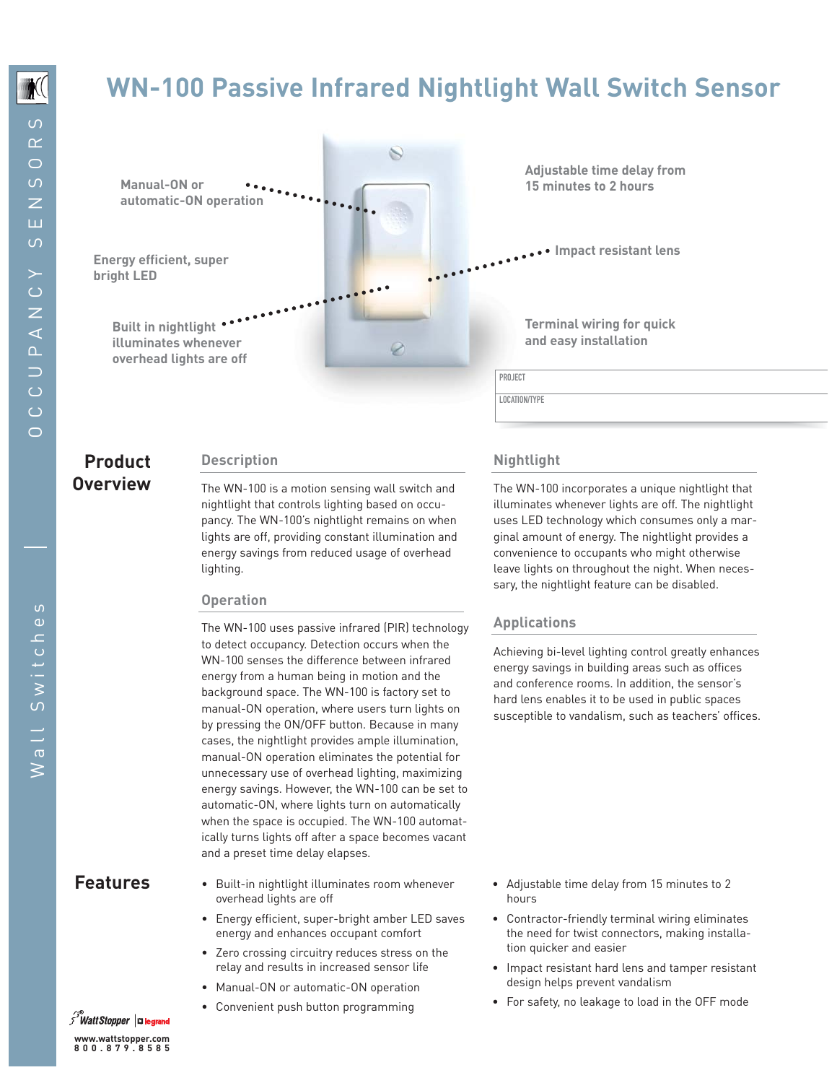# **WN-100 Passive Infrared Nightlight Wall Switch Sensor**

 $\mathbb{Z}$ 

**Manual-ON or automatic-ON operation**

**bright LED**

**Built in nightlight illuminates whenever overhead lights are off** **Adjustable time delay from 15 minutes to 2 hours**

**Impact resistant lens Energy efficient, super**

**Terminal wiring for quick and easy installation**

PROJECT

LOCATION/TYPE

## **Product Description Overview**

The WN-100 is a motion sensing wall switch and nightlight that controls lighting based on occupancy. The WN-100's nightlight remains on when lights are off, providing constant illumination and energy savings from reduced usage of overhead lighting.

#### **Operation**

The WN-100 uses passive infrared (PIR) technology to detect occupancy. Detection occurs when the WN-100 senses the difference between infrared energy from a human being in motion and the background space. The WN-100 is factory set to manual-ON operation, where users turn lights on by pressing the ON/OFF button. Because in many cases, the nightlight provides ample illumination, manual-ON operation eliminates the potential for unnecessary use of overhead lighting, maximizing energy savings. However, the WN-100 can be set to automatic-ON, where lights turn on automatically when the space is occupied. The WN-100 automatically turns lights off after a space becomes vacant and a preset time delay elapses.

- overhead lights are off
- Energy efficient, super-bright amber LED saves energy and enhances occupant comfort
- Zero crossing circuitry reduces stress on the relay and results in increased sensor life
- Manual-ON or automatic-ON operation
	- Convenient push button programming

### **Nightlight**

The WN-100 incorporates a unique nightlight that illuminates whenever lights are off. The nightlight uses LED technology which consumes only a marginal amount of energy. The nightlight provides a convenience to occupants who might otherwise leave lights on throughout the night. When necessary, the nightlight feature can be disabled.

#### **Applications**

Achieving bi-level lighting control greatly enhances energy savings in building areas such as offices and conference rooms. In addition, the sensor's hard lens enables it to be used in public spaces susceptible to vandalism, such as teachers' offices.

- Features Built-in nightlight illuminates room whenever Adjustable time delay from 15 minutes to 2 hours
	- Contractor-friendly terminal wiring eliminates the need for twist connectors, making installation quicker and easier
	- Impact resistant hard lens and tamper resistant design helps prevent vandalism
	- For safety, no leakage to load in the OFF mode

*s Watt Stopper* | **¤ legrand www.wattstopper.com 800.879.8585**